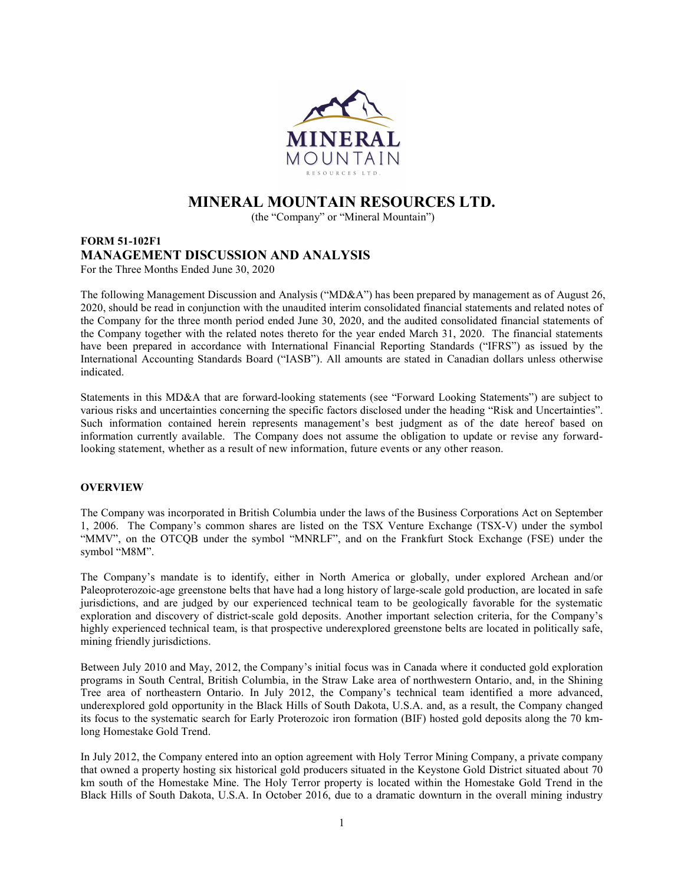

# MINERAL MOUNTAIN RESOURCES LTD.

(the "Company" or "Mineral Mountain")

# FORM 51-102F1 MANAGEMENT DISCUSSION AND ANALYSIS For the Three Months Ended June 30, 2020

The following Management Discussion and Analysis ("MD&A") has been prepared by management as of August 26, 2020, should be read in conjunction with the unaudited interim consolidated financial statements and related notes of the Company for the three month period ended June 30, 2020, and the audited consolidated financial statements of the Company together with the related notes thereto for the year ended March 31, 2020. The financial statements have been prepared in accordance with International Financial Reporting Standards ("IFRS") as issued by the International Accounting Standards Board ("IASB"). All amounts are stated in Canadian dollars unless otherwise indicated.

Statements in this MD&A that are forward-looking statements (see "Forward Looking Statements") are subject to various risks and uncertainties concerning the specific factors disclosed under the heading "Risk and Uncertainties". Such information contained herein represents management's best judgment as of the date hereof based on information currently available. The Company does not assume the obligation to update or revise any forwardlooking statement, whether as a result of new information, future events or any other reason.

# **OVERVIEW**

The Company was incorporated in British Columbia under the laws of the Business Corporations Act on September 1, 2006. The Company's common shares are listed on the TSX Venture Exchange (TSX-V) under the symbol "MMV", on the OTCQB under the symbol "MNRLF", and on the Frankfurt Stock Exchange (FSE) under the symbol "M8M".

The Company's mandate is to identify, either in North America or globally, under explored Archean and/or Paleoproterozoic-age greenstone belts that have had a long history of large-scale gold production, are located in safe jurisdictions, and are judged by our experienced technical team to be geologically favorable for the systematic exploration and discovery of district-scale gold deposits. Another important selection criteria, for the Company's highly experienced technical team, is that prospective underexplored greenstone belts are located in politically safe, mining friendly jurisdictions.

Between July 2010 and May, 2012, the Company's initial focus was in Canada where it conducted gold exploration programs in South Central, British Columbia, in the Straw Lake area of northwestern Ontario, and, in the Shining Tree area of northeastern Ontario. In July 2012, the Company's technical team identified a more advanced, underexplored gold opportunity in the Black Hills of South Dakota, U.S.A. and, as a result, the Company changed its focus to the systematic search for Early Proterozoic iron formation (BIF) hosted gold deposits along the 70 kmlong Homestake Gold Trend.

In July 2012, the Company entered into an option agreement with Holy Terror Mining Company, a private company that owned a property hosting six historical gold producers situated in the Keystone Gold District situated about 70 km south of the Homestake Mine. The Holy Terror property is located within the Homestake Gold Trend in the Black Hills of South Dakota, U.S.A. In October 2016, due to a dramatic downturn in the overall mining industry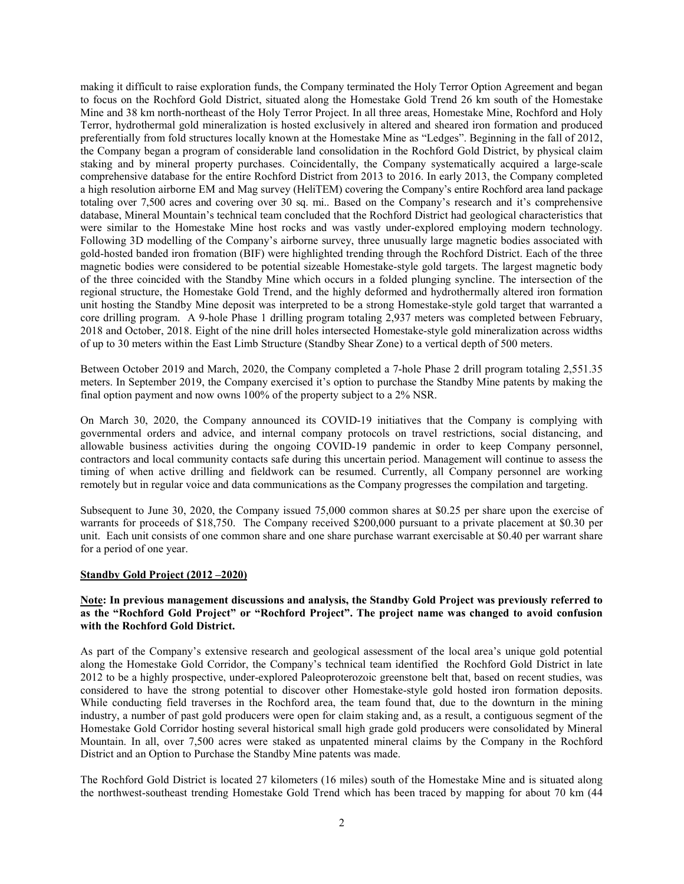making it difficult to raise exploration funds, the Company terminated the Holy Terror Option Agreement and began to focus on the Rochford Gold District, situated along the Homestake Gold Trend 26 km south of the Homestake Mine and 38 km north-northeast of the Holy Terror Project. In all three areas, Homestake Mine, Rochford and Holy Terror, hydrothermal gold mineralization is hosted exclusively in altered and sheared iron formation and produced preferentially from fold structures locally known at the Homestake Mine as "Ledges". Beginning in the fall of 2012, the Company began a program of considerable land consolidation in the Rochford Gold District, by physical claim staking and by mineral property purchases. Coincidentally, the Company systematically acquired a large-scale comprehensive database for the entire Rochford District from 2013 to 2016. In early 2013, the Company completed a high resolution airborne EM and Mag survey (HeliTEM) covering the Company's entire Rochford area land package totaling over 7,500 acres and covering over 30 sq. mi.. Based on the Company's research and it's comprehensive database, Mineral Mountain's technical team concluded that the Rochford District had geological characteristics that were similar to the Homestake Mine host rocks and was vastly under-explored employing modern technology. Following 3D modelling of the Company's airborne survey, three unusually large magnetic bodies associated with gold-hosted banded iron fromation (BIF) were highlighted trending through the Rochford District. Each of the three magnetic bodies were considered to be potential sizeable Homestake-style gold targets. The largest magnetic body of the three coincided with the Standby Mine which occurs in a folded plunging syncline. The intersection of the regional structure, the Homestake Gold Trend, and the highly deformed and hydrothermally altered iron formation unit hosting the Standby Mine deposit was interpreted to be a strong Homestake-style gold target that warranted a core drilling program. A 9-hole Phase 1 drilling program totaling 2,937 meters was completed between February, 2018 and October, 2018. Eight of the nine drill holes intersected Homestake-style gold mineralization across widths of up to 30 meters within the East Limb Structure (Standby Shear Zone) to a vertical depth of 500 meters.

Between October 2019 and March, 2020, the Company completed a 7-hole Phase 2 drill program totaling 2,551.35 meters. In September 2019, the Company exercised it's option to purchase the Standby Mine patents by making the final option payment and now owns 100% of the property subject to a 2% NSR.

On March 30, 2020, the Company announced its COVID-19 initiatives that the Company is complying with governmental orders and advice, and internal company protocols on travel restrictions, social distancing, and allowable business activities during the ongoing COVID-19 pandemic in order to keep Company personnel, contractors and local community contacts safe during this uncertain period. Management will continue to assess the timing of when active drilling and fieldwork can be resumed. Currently, all Company personnel are working remotely but in regular voice and data communications as the Company progresses the compilation and targeting.

Subsequent to June 30, 2020, the Company issued 75,000 common shares at \$0.25 per share upon the exercise of warrants for proceeds of \$18,750. The Company received \$200,000 pursuant to a private placement at \$0.30 per unit. Each unit consists of one common share and one share purchase warrant exercisable at \$0.40 per warrant share for a period of one year.

#### Standby Gold Project (2012 –2020)

### Note: In previous management discussions and analysis, the Standby Gold Project was previously referred to as the "Rochford Gold Project" or "Rochford Project". The project name was changed to avoid confusion with the Rochford Gold District.

As part of the Company's extensive research and geological assessment of the local area's unique gold potential along the Homestake Gold Corridor, the Company's technical team identified the Rochford Gold District in late 2012 to be a highly prospective, under-explored Paleoproterozoic greenstone belt that, based on recent studies, was considered to have the strong potential to discover other Homestake-style gold hosted iron formation deposits. While conducting field traverses in the Rochford area, the team found that, due to the downturn in the mining industry, a number of past gold producers were open for claim staking and, as a result, a contiguous segment of the Homestake Gold Corridor hosting several historical small high grade gold producers were consolidated by Mineral Mountain. In all, over 7,500 acres were staked as unpatented mineral claims by the Company in the Rochford District and an Option to Purchase the Standby Mine patents was made.

The Rochford Gold District is located 27 kilometers (16 miles) south of the Homestake Mine and is situated along the northwest-southeast trending Homestake Gold Trend which has been traced by mapping for about 70 km (44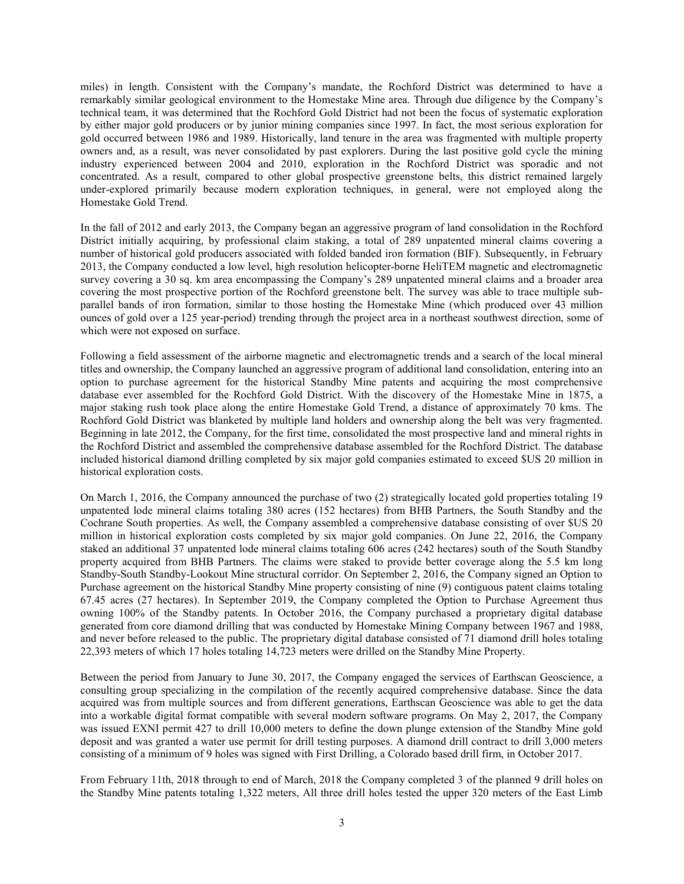miles) in length. Consistent with the Company's mandate, the Rochford District was determined to have a remarkably similar geological environment to the Homestake Mine area. Through due diligence by the Company's technical team, it was determined that the Rochford Gold District had not been the focus of systematic exploration by either major gold producers or by junior mining companies since 1997. In fact, the most serious exploration for gold occurred between 1986 and 1989. Historically, land tenure in the area was fragmented with multiple property owners and, as a result, was never consolidated by past explorers. During the last positive gold cycle the mining industry experienced between 2004 and 2010, exploration in the Rochford District was sporadic and not concentrated. As a result, compared to other global prospective greenstone belts, this district remained largely under-explored primarily because modern exploration techniques, in general, were not employed along the Homestake Gold Trend.

In the fall of 2012 and early 2013, the Company began an aggressive program of land consolidation in the Rochford District initially acquiring, by professional claim staking, a total of 289 unpatented mineral claims covering a number of historical gold producers associated with folded banded iron formation (BIF). Subsequently, in February 2013, the Company conducted a low level, high resolution helicopter-borne HeliTEM magnetic and electromagnetic survey covering a 30 sq. km area encompassing the Company's 289 unpatented mineral claims and a broader area covering the most prospective portion of the Rochford greenstone belt. The survey was able to trace multiple subparallel bands of iron formation, similar to those hosting the Homestake Mine (which produced over 43 million ounces of gold over a 125 year-period) trending through the project area in a northeast southwest direction, some of which were not exposed on surface.

Following a field assessment of the airborne magnetic and electromagnetic trends and a search of the local mineral titles and ownership, the Company launched an aggressive program of additional land consolidation, entering into an option to purchase agreement for the historical Standby Mine patents and acquiring the most comprehensive database ever assembled for the Rochford Gold District. With the discovery of the Homestake Mine in 1875, a major staking rush took place along the entire Homestake Gold Trend, a distance of approximately 70 kms. The Rochford Gold District was blanketed by multiple land holders and ownership along the belt was very fragmented. Beginning in late 2012, the Company, for the first time, consolidated the most prospective land and mineral rights in the Rochford District and assembled the comprehensive database assembled for the Rochford District. The database included historical diamond drilling completed by six major gold companies estimated to exceed \$US 20 million in historical exploration costs.

On March 1, 2016, the Company announced the purchase of two (2) strategically located gold properties totaling 19 unpatented lode mineral claims totaling 380 acres (152 hectares) from BHB Partners, the South Standby and the Cochrane South properties. As well, the Company assembled a comprehensive database consisting of over \$US 20 million in historical exploration costs completed by six major gold companies. On June 22, 2016, the Company staked an additional 37 unpatented lode mineral claims totaling 606 acres (242 hectares) south of the South Standby property acquired from BHB Partners. The claims were staked to provide better coverage along the 5.5 km long Standby-South Standby-Lookout Mine structural corridor. On September 2, 2016, the Company signed an Option to Purchase agreement on the historical Standby Mine property consisting of nine (9) contiguous patent claims totaling 67.45 acres (27 hectares). In September 2019, the Company completed the Option to Purchase Agreement thus owning 100% of the Standby patents. In October 2016, the Company purchased a proprietary digital database generated from core diamond drilling that was conducted by Homestake Mining Company between 1967 and 1988, and never before released to the public. The proprietary digital database consisted of  $\overline{7}1$  diamond drill holes totaling 22,393 meters of which 17 holes totaling 14,723 meters were drilled on the Standby Mine Property.

Between the period from January to June 30, 2017, the Company engaged the services of Earthscan Geoscience, a consulting group specializing in the compilation of the recently acquired comprehensive database. Since the data acquired was from multiple sources and from different generations, Earthscan Geoscience was able to get the data into a workable digital format compatible with several modern software programs. On May 2, 2017, the Company was issued EXNI permit 427 to drill 10,000 meters to define the down plunge extension of the Standby Mine gold deposit and was granted a water use permit for drill testing purposes. A diamond drill contract to drill 3,000 meters consisting of a minimum of 9 holes was signed with First Drilling, a Colorado based drill firm, in October 2017.

From February 11th, 2018 through to end of March, 2018 the Company completed 3 of the planned 9 drill holes on the Standby Mine patents totaling 1,322 meters, All three drill holes tested the upper 320 meters of the East Limb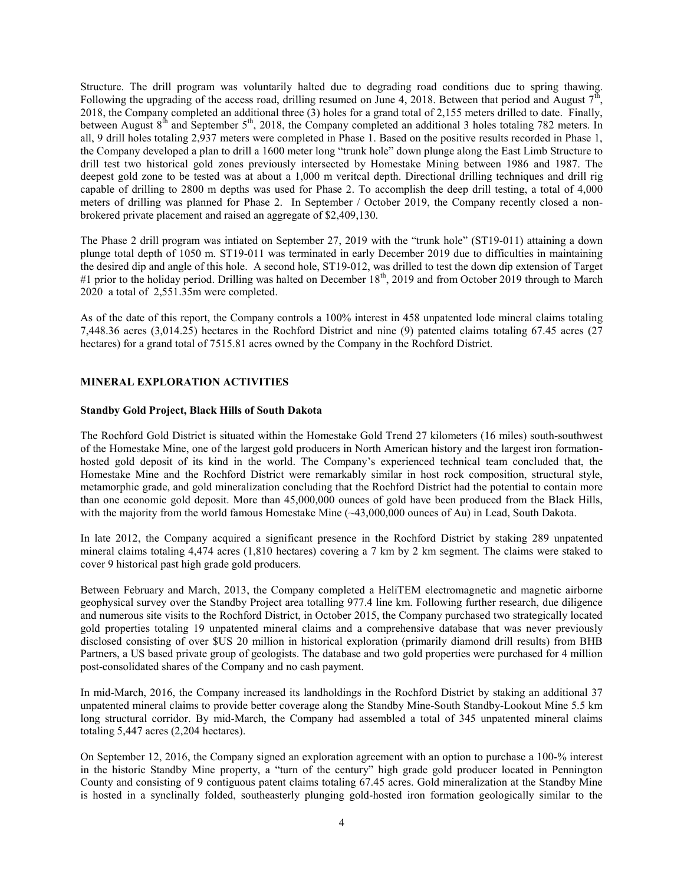Structure. The drill program was voluntarily halted due to degrading road conditions due to spring thawing. Following the upgrading of the access road, drilling resumed on June 4, 2018. Between that period and August  $7^{\text{th}}$ , 2018, the Company completed an additional three (3) holes for a grand total of 2,155 meters drilled to date. Finally, between August 8<sup>th</sup> and September 5<sup>th</sup>, 2018, the Company completed an additional 3 holes totaling 782 meters. In all, 9 drill holes totaling 2,937 meters were completed in Phase 1. Based on the positive results recorded in Phase 1, the Company developed a plan to drill a 1600 meter long "trunk hole" down plunge along the East Limb Structure to drill test two historical gold zones previously intersected by Homestake Mining between 1986 and 1987. The deepest gold zone to be tested was at about a 1,000 m veritcal depth. Directional drilling techniques and drill rig capable of drilling to 2800 m depths was used for Phase 2. To accomplish the deep drill testing, a total of 4,000 meters of drilling was planned for Phase 2. In September / October 2019, the Company recently closed a nonbrokered private placement and raised an aggregate of \$2,409,130.

The Phase 2 drill program was intiated on September 27, 2019 with the "trunk hole" (ST19-011) attaining a down plunge total depth of 1050 m. ST19-011 was terminated in early December 2019 due to difficulties in maintaining the desired dip and angle of this hole. A second hole, ST19-012, was drilled to test the down dip extension of Target #1 prior to the holiday period. Drilling was halted on December  $18<sup>th</sup>$ , 2019 and from October 2019 through to March 2020 a total of 2,551.35m were completed.

As of the date of this report, the Company controls a 100% interest in 458 unpatented lode mineral claims totaling 7,448.36 acres (3,014.25) hectares in the Rochford District and nine (9) patented claims totaling 67.45 acres (27 hectares) for a grand total of 7515.81 acres owned by the Company in the Rochford District.

# MINERAL EXPLORATION ACTIVITIES

### Standby Gold Project, Black Hills of South Dakota

The Rochford Gold District is situated within the Homestake Gold Trend 27 kilometers (16 miles) south-southwest of the Homestake Mine, one of the largest gold producers in North American history and the largest iron formationhosted gold deposit of its kind in the world. The Company's experienced technical team concluded that, the Homestake Mine and the Rochford District were remarkably similar in host rock composition, structural style, metamorphic grade, and gold mineralization concluding that the Rochford District had the potential to contain more than one economic gold deposit. More than 45,000,000 ounces of gold have been produced from the Black Hills, with the majority from the world famous Homestake Mine (~43,000,000 ounces of Au) in Lead, South Dakota.

In late 2012, the Company acquired a significant presence in the Rochford District by staking 289 unpatented mineral claims totaling 4,474 acres (1,810 hectares) covering a 7 km by 2 km segment. The claims were staked to cover 9 historical past high grade gold producers.

Between February and March, 2013, the Company completed a HeliTEM electromagnetic and magnetic airborne geophysical survey over the Standby Project area totalling 977.4 line km. Following further research, due diligence and numerous site visits to the Rochford District, in October 2015, the Company purchased two strategically located gold properties totaling 19 unpatented mineral claims and a comprehensive database that was never previously disclosed consisting of over \$US 20 million in historical exploration (primarily diamond drill results) from BHB Partners, a US based private group of geologists. The database and two gold properties were purchased for 4 million post-consolidated shares of the Company and no cash payment.

In mid-March, 2016, the Company increased its landholdings in the Rochford District by staking an additional 37 unpatented mineral claims to provide better coverage along the Standby Mine-South Standby-Lookout Mine 5.5 km long structural corridor. By mid-March, the Company had assembled a total of 345 unpatented mineral claims totaling 5,447 acres (2,204 hectares).

On September 12, 2016, the Company signed an exploration agreement with an option to purchase a 100-% interest in the historic Standby Mine property, a "turn of the century" high grade gold producer located in Pennington County and consisting of 9 contiguous patent claims totaling 67.45 acres. Gold mineralization at the Standby Mine is hosted in a synclinally folded, southeasterly plunging gold-hosted iron formation geologically similar to the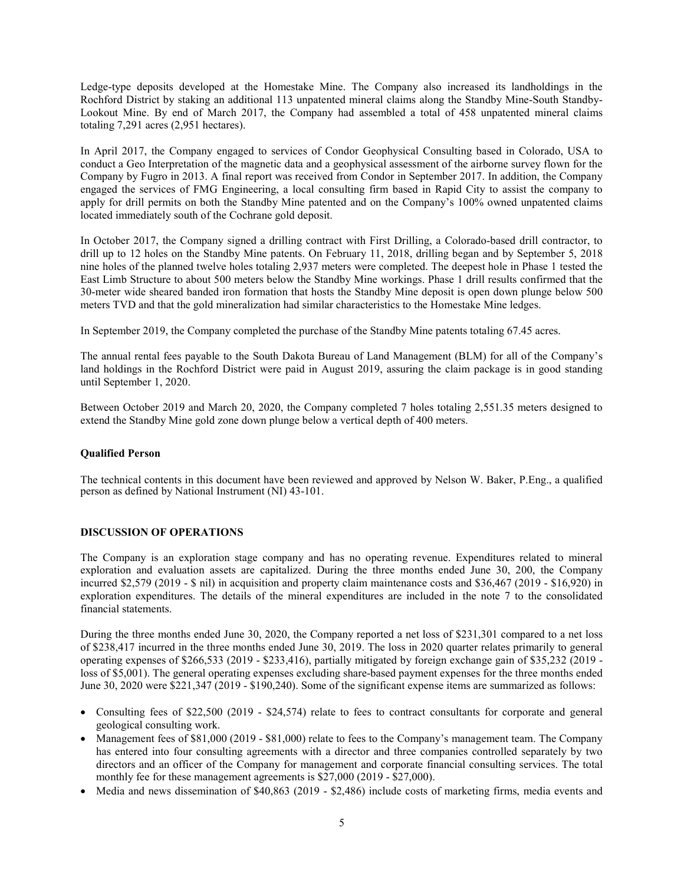Ledge-type deposits developed at the Homestake Mine. The Company also increased its landholdings in the Rochford District by staking an additional 113 unpatented mineral claims along the Standby Mine-South Standby-Lookout Mine. By end of March 2017, the Company had assembled a total of 458 unpatented mineral claims totaling 7,291 acres (2,951 hectares).

In April 2017, the Company engaged to services of Condor Geophysical Consulting based in Colorado, USA to conduct a Geo Interpretation of the magnetic data and a geophysical assessment of the airborne survey flown for the Company by Fugro in 2013. A final report was received from Condor in September 2017. In addition, the Company engaged the services of FMG Engineering, a local consulting firm based in Rapid City to assist the company to apply for drill permits on both the Standby Mine patented and on the Company's 100% owned unpatented claims located immediately south of the Cochrane gold deposit.

In October 2017, the Company signed a drilling contract with First Drilling, a Colorado-based drill contractor, to drill up to 12 holes on the Standby Mine patents. On February 11, 2018, drilling began and by September 5, 2018 nine holes of the planned twelve holes totaling 2,937 meters were completed. The deepest hole in Phase 1 tested the East Limb Structure to about 500 meters below the Standby Mine workings. Phase 1 drill results confirmed that the 30-meter wide sheared banded iron formation that hosts the Standby Mine deposit is open down plunge below 500 meters TVD and that the gold mineralization had similar characteristics to the Homestake Mine ledges.

In September 2019, the Company completed the purchase of the Standby Mine patents totaling 67.45 acres.

The annual rental fees payable to the South Dakota Bureau of Land Management (BLM) for all of the Company's land holdings in the Rochford District were paid in August 2019, assuring the claim package is in good standing until September 1, 2020.

Between October 2019 and March 20, 2020, the Company completed 7 holes totaling 2,551.35 meters designed to extend the Standby Mine gold zone down plunge below a vertical depth of 400 meters.

# Qualified Person

The technical contents in this document have been reviewed and approved by Nelson W. Baker, P.Eng., a qualified person as defined by National Instrument (NI) 43-101.

# DISCUSSION OF OPERATIONS

The Company is an exploration stage company and has no operating revenue. Expenditures related to mineral exploration and evaluation assets are capitalized. During the three months ended June 30, 200, the Company incurred \$2,579 (2019 - \$ nil) in acquisition and property claim maintenance costs and \$36,467 (2019 - \$16,920) in exploration expenditures. The details of the mineral expenditures are included in the note 7 to the consolidated financial statements.

During the three months ended June 30, 2020, the Company reported a net loss of \$231,301 compared to a net loss of \$238,417 incurred in the three months ended June 30, 2019. The loss in 2020 quarter relates primarily to general operating expenses of \$266,533 (2019 - \$233,416), partially mitigated by foreign exchange gain of \$35,232 (2019 loss of \$5,001). The general operating expenses excluding share-based payment expenses for the three months ended June 30, 2020 were \$221,347 (2019 - \$190,240). Some of the significant expense items are summarized as follows:

- Consulting fees of \$22,500 (2019 \$24,574) relate to fees to contract consultants for corporate and general geological consulting work.
- Management fees of \$81,000 (2019 \$81,000) relate to fees to the Company's management team. The Company has entered into four consulting agreements with a director and three companies controlled separately by two directors and an officer of the Company for management and corporate financial consulting services. The total monthly fee for these management agreements is \$27,000 (2019 - \$27,000).
- Media and news dissemination of \$40,863 (2019 \$2,486) include costs of marketing firms, media events and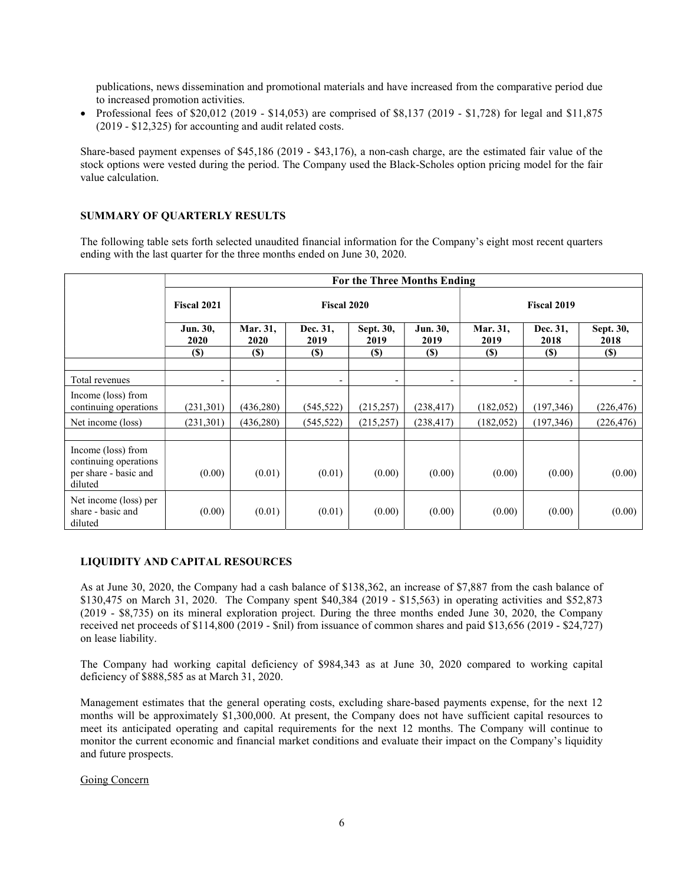publications, news dissemination and promotional materials and have increased from the comparative period due to increased promotion activities.

• Professional fees of \$20,012 (2019 - \$14,053) are comprised of \$8,137 (2019 - \$1,728) for legal and \$11,875 (2019 - \$12,325) for accounting and audit related costs.

Share-based payment expenses of \$45,186 (2019 - \$43,176), a non-cash charge, are the estimated fair value of the stock options were vested during the period. The Company used the Black-Scholes option pricing model for the fair value calculation.

# SUMMARY OF QUARTERLY RESULTS

The following table sets forth selected unaudited financial information for the Company's eight most recent quarters ending with the last quarter for the three months ended on June 30, 2020.

|                                                                                 | For the Three Months Ending |                          |                          |                            |                          |                          |                  |                   |  |
|---------------------------------------------------------------------------------|-----------------------------|--------------------------|--------------------------|----------------------------|--------------------------|--------------------------|------------------|-------------------|--|
|                                                                                 | Fiscal 2021                 | <b>Fiscal 2020</b>       |                          |                            |                          | <b>Fiscal 2019</b>       |                  |                   |  |
|                                                                                 | Jun. 30,<br><b>2020</b>     | Mar. 31,<br>2020         | Dec. 31,<br>2019         | Sept. 30,<br>2019          | Jun. 30,<br>2019         | Mar. 31,<br>2019         | Dec. 31,<br>2018 | Sept. 30,<br>2018 |  |
|                                                                                 | (S)                         | $(\$)$                   | (S)                      | $\left( \mathbb{S}\right)$ | $(\$)$                   | <b>(\$)</b>              | (S)              | $(\$)$            |  |
| Total revenues                                                                  | -                           | $\overline{\phantom{a}}$ | $\overline{\phantom{a}}$ | -                          | $\overline{\phantom{a}}$ | $\overline{\phantom{a}}$ | -                |                   |  |
| Income (loss) from<br>continuing operations                                     | (231, 301)                  | (436, 280)               | (545, 522)               | (215, 257)                 | (238, 417)               | (182, 052)               | (197, 346)       | (226, 476)        |  |
| Net income (loss)                                                               | (231, 301)                  | (436, 280)               | (545, 522)               | (215, 257)                 | (238, 417)               | (182, 052)               | (197, 346)       | (226, 476)        |  |
|                                                                                 |                             |                          |                          |                            |                          |                          |                  |                   |  |
| Income (loss) from<br>continuing operations<br>per share - basic and<br>diluted | (0.00)                      | (0.01)                   | (0.01)                   | (0.00)                     | (0.00)                   | (0.00)                   | (0.00)           | (0.00)            |  |
| Net income (loss) per<br>share - basic and<br>diluted                           | (0.00)                      | (0.01)                   | (0.01)                   | (0.00)                     | (0.00)                   | (0.00)                   | (0.00)           | (0.00)            |  |

### LIQUIDITY AND CAPITAL RESOURCES

As at June 30, 2020, the Company had a cash balance of \$138,362, an increase of \$7,887 from the cash balance of \$130,475 on March 31, 2020. The Company spent \$40,384 (2019 - \$15,563) in operating activities and \$52,873 (2019 - \$8,735) on its mineral exploration project. During the three months ended June 30, 2020, the Company received net proceeds of \$114,800 (2019 - \$nil) from issuance of common shares and paid \$13,656 (2019 - \$24,727) on lease liability.

The Company had working capital deficiency of \$984,343 as at June 30, 2020 compared to working capital deficiency of \$888,585 as at March 31, 2020.

Management estimates that the general operating costs, excluding share-based payments expense, for the next 12 months will be approximately \$1,300,000. At present, the Company does not have sufficient capital resources to meet its anticipated operating and capital requirements for the next 12 months. The Company will continue to monitor the current economic and financial market conditions and evaluate their impact on the Company's liquidity and future prospects.

#### Going Concern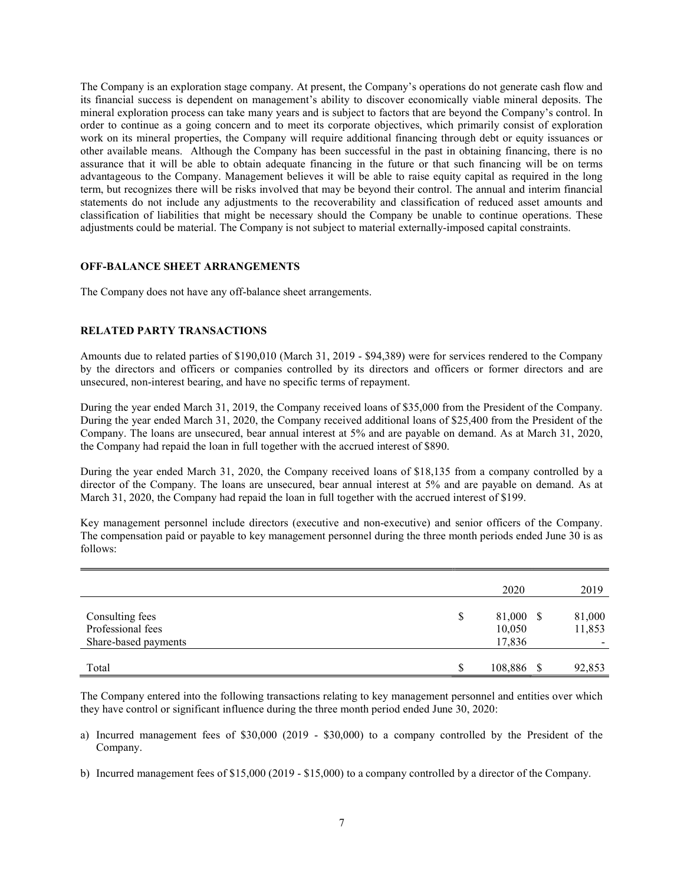The Company is an exploration stage company. At present, the Company's operations do not generate cash flow and its financial success is dependent on management's ability to discover economically viable mineral deposits. The mineral exploration process can take many years and is subject to factors that are beyond the Company's control. In order to continue as a going concern and to meet its corporate objectives, which primarily consist of exploration work on its mineral properties, the Company will require additional financing through debt or equity issuances or other available means. Although the Company has been successful in the past in obtaining financing, there is no assurance that it will be able to obtain adequate financing in the future or that such financing will be on terms advantageous to the Company. Management believes it will be able to raise equity capital as required in the long term, but recognizes there will be risks involved that may be beyond their control. The annual and interim financial statements do not include any adjustments to the recoverability and classification of reduced asset amounts and classification of liabilities that might be necessary should the Company be unable to continue operations. These adjustments could be material. The Company is not subject to material externally-imposed capital constraints.

# OFF-BALANCE SHEET ARRANGEMENTS

The Company does not have any off-balance sheet arrangements.

# RELATED PARTY TRANSACTIONS

Amounts due to related parties of \$190,010 (March 31, 2019 - \$94,389) were for services rendered to the Company by the directors and officers or companies controlled by its directors and officers or former directors and are unsecured, non-interest bearing, and have no specific terms of repayment.

During the year ended March 31, 2019, the Company received loans of \$35,000 from the President of the Company. During the year ended March 31, 2020, the Company received additional loans of \$25,400 from the President of the Company. The loans are unsecured, bear annual interest at 5% and are payable on demand. As at March 31, 2020, the Company had repaid the loan in full together with the accrued interest of \$890.

During the year ended March 31, 2020, the Company received loans of \$18,135 from a company controlled by a director of the Company. The loans are unsecured, bear annual interest at 5% and are payable on demand. As at March 31, 2020, the Company had repaid the loan in full together with the accrued interest of \$199.

Key management personnel include directors (executive and non-executive) and senior officers of the Company. The compensation paid or payable to key management personnel during the three month periods ended June 30 is as follows:

|                                                              |               | 2020                          | 2019             |
|--------------------------------------------------------------|---------------|-------------------------------|------------------|
| Consulting fees<br>Professional fees<br>Share-based payments | <sup>\$</sup> | 81,000 \$<br>10,050<br>17,836 | 81,000<br>11,853 |
| Total                                                        | S             | 108,886 \$                    | 92,853           |

The Company entered into the following transactions relating to key management personnel and entities over which they have control or significant influence during the three month period ended June 30, 2020:

- a) Incurred management fees of \$30,000 (2019 \$30,000) to a company controlled by the President of the Company.
- b) Incurred management fees of \$15,000 (2019 \$15,000) to a company controlled by a director of the Company.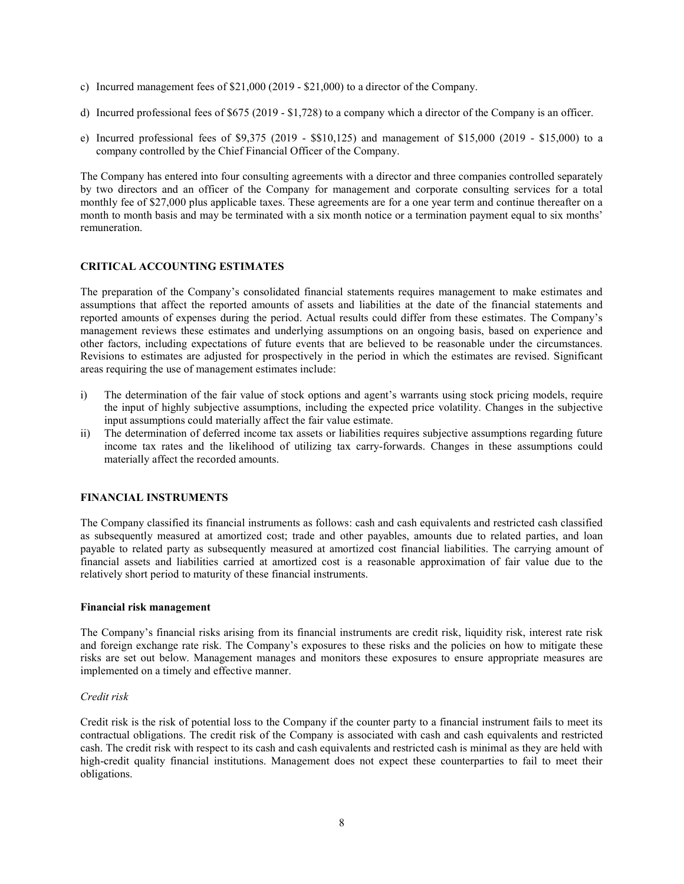- c) Incurred management fees of \$21,000 (2019 \$21,000) to a director of the Company.
- d) Incurred professional fees of \$675 (2019 \$1,728) to a company which a director of the Company is an officer.
- e) Incurred professional fees of \$9,375 (2019 \$\$10,125) and management of \$15,000 (2019 \$15,000) to a company controlled by the Chief Financial Officer of the Company.

The Company has entered into four consulting agreements with a director and three companies controlled separately by two directors and an officer of the Company for management and corporate consulting services for a total monthly fee of \$27,000 plus applicable taxes. These agreements are for a one year term and continue thereafter on a month to month basis and may be terminated with a six month notice or a termination payment equal to six months' remuneration.

# CRITICAL ACCOUNTING ESTIMATES

The preparation of the Company's consolidated financial statements requires management to make estimates and assumptions that affect the reported amounts of assets and liabilities at the date of the financial statements and reported amounts of expenses during the period. Actual results could differ from these estimates. The Company's management reviews these estimates and underlying assumptions on an ongoing basis, based on experience and other factors, including expectations of future events that are believed to be reasonable under the circumstances. Revisions to estimates are adjusted for prospectively in the period in which the estimates are revised. Significant areas requiring the use of management estimates include:

- i) The determination of the fair value of stock options and agent's warrants using stock pricing models, require the input of highly subjective assumptions, including the expected price volatility. Changes in the subjective input assumptions could materially affect the fair value estimate.
- ii) The determination of deferred income tax assets or liabilities requires subjective assumptions regarding future income tax rates and the likelihood of utilizing tax carry-forwards. Changes in these assumptions could materially affect the recorded amounts.

# FINANCIAL INSTRUMENTS

The Company classified its financial instruments as follows: cash and cash equivalents and restricted cash classified as subsequently measured at amortized cost; trade and other payables, amounts due to related parties, and loan payable to related party as subsequently measured at amortized cost financial liabilities. The carrying amount of financial assets and liabilities carried at amortized cost is a reasonable approximation of fair value due to the relatively short period to maturity of these financial instruments.

#### Financial risk management

The Company's financial risks arising from its financial instruments are credit risk, liquidity risk, interest rate risk and foreign exchange rate risk. The Company's exposures to these risks and the policies on how to mitigate these risks are set out below. Management manages and monitors these exposures to ensure appropriate measures are implemented on a timely and effective manner.

#### Credit risk

Credit risk is the risk of potential loss to the Company if the counter party to a financial instrument fails to meet its contractual obligations. The credit risk of the Company is associated with cash and cash equivalents and restricted cash. The credit risk with respect to its cash and cash equivalents and restricted cash is minimal as they are held with high-credit quality financial institutions. Management does not expect these counterparties to fail to meet their obligations.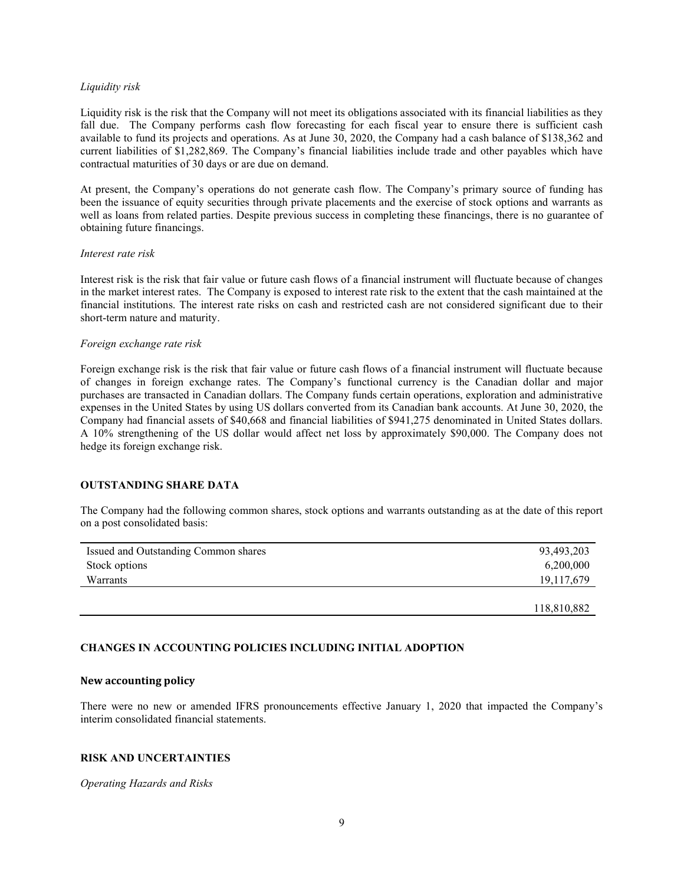#### Liquidity risk

Liquidity risk is the risk that the Company will not meet its obligations associated with its financial liabilities as they fall due. The Company performs cash flow forecasting for each fiscal year to ensure there is sufficient cash available to fund its projects and operations. As at June 30, 2020, the Company had a cash balance of \$138,362 and current liabilities of \$1,282,869. The Company's financial liabilities include trade and other payables which have contractual maturities of 30 days or are due on demand.

At present, the Company's operations do not generate cash flow. The Company's primary source of funding has been the issuance of equity securities through private placements and the exercise of stock options and warrants as well as loans from related parties. Despite previous success in completing these financings, there is no guarantee of obtaining future financings.

#### Interest rate risk

Interest risk is the risk that fair value or future cash flows of a financial instrument will fluctuate because of changes in the market interest rates. The Company is exposed to interest rate risk to the extent that the cash maintained at the financial institutions. The interest rate risks on cash and restricted cash are not considered significant due to their short-term nature and maturity.

#### Foreign exchange rate risk

Foreign exchange risk is the risk that fair value or future cash flows of a financial instrument will fluctuate because of changes in foreign exchange rates. The Company's functional currency is the Canadian dollar and major purchases are transacted in Canadian dollars. The Company funds certain operations, exploration and administrative expenses in the United States by using US dollars converted from its Canadian bank accounts. At June 30, 2020, the Company had financial assets of \$40,668 and financial liabilities of \$941,275 denominated in United States dollars. A 10% strengthening of the US dollar would affect net loss by approximately \$90,000. The Company does not hedge its foreign exchange risk.

# OUTSTANDING SHARE DATA

The Company had the following common shares, stock options and warrants outstanding as at the date of this report on a post consolidated basis:

| Issued and Outstanding Common shares | 93,493,203   |
|--------------------------------------|--------------|
| Stock options                        | 6,200,000    |
| Warrants                             | 19, 117, 679 |
|                                      |              |
|                                      | 118,810,882  |

# CHANGES IN ACCOUNTING POLICIES INCLUDING INITIAL ADOPTION

#### New accounting policy

There were no new or amended IFRS pronouncements effective January 1, 2020 that impacted the Company's interim consolidated financial statements.

### RISK AND UNCERTAINTIES

#### Operating Hazards and Risks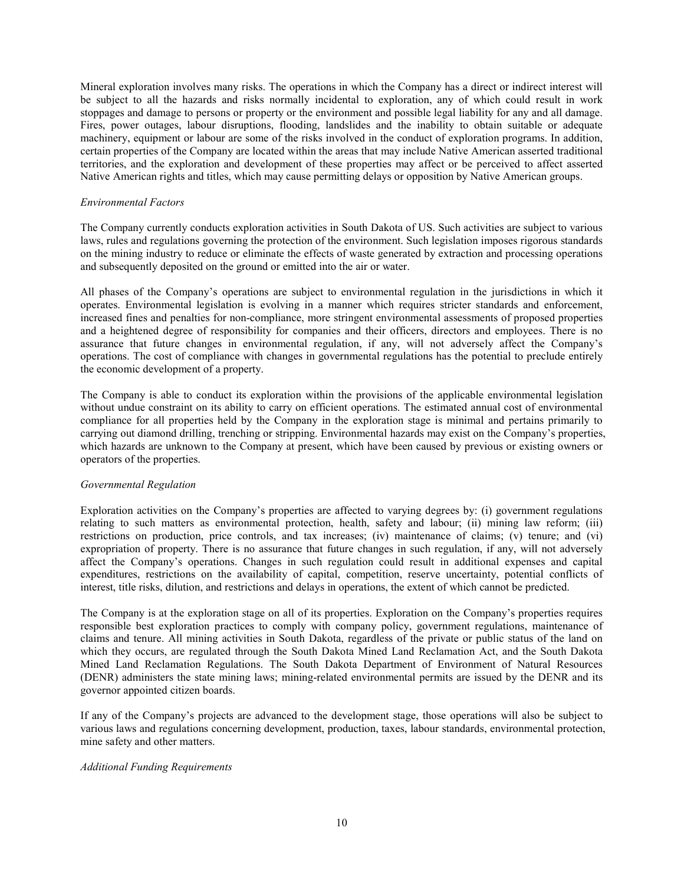Mineral exploration involves many risks. The operations in which the Company has a direct or indirect interest will be subject to all the hazards and risks normally incidental to exploration, any of which could result in work stoppages and damage to persons or property or the environment and possible legal liability for any and all damage. Fires, power outages, labour disruptions, flooding, landslides and the inability to obtain suitable or adequate machinery, equipment or labour are some of the risks involved in the conduct of exploration programs. In addition, certain properties of the Company are located within the areas that may include Native American asserted traditional territories, and the exploration and development of these properties may affect or be perceived to affect asserted Native American rights and titles, which may cause permitting delays or opposition by Native American groups.

#### Environmental Factors

The Company currently conducts exploration activities in South Dakota of US. Such activities are subject to various laws, rules and regulations governing the protection of the environment. Such legislation imposes rigorous standards on the mining industry to reduce or eliminate the effects of waste generated by extraction and processing operations and subsequently deposited on the ground or emitted into the air or water.

All phases of the Company's operations are subject to environmental regulation in the jurisdictions in which it operates. Environmental legislation is evolving in a manner which requires stricter standards and enforcement, increased fines and penalties for non-compliance, more stringent environmental assessments of proposed properties and a heightened degree of responsibility for companies and their officers, directors and employees. There is no assurance that future changes in environmental regulation, if any, will not adversely affect the Company's operations. The cost of compliance with changes in governmental regulations has the potential to preclude entirely the economic development of a property.

The Company is able to conduct its exploration within the provisions of the applicable environmental legislation without undue constraint on its ability to carry on efficient operations. The estimated annual cost of environmental compliance for all properties held by the Company in the exploration stage is minimal and pertains primarily to carrying out diamond drilling, trenching or stripping. Environmental hazards may exist on the Company's properties, which hazards are unknown to the Company at present, which have been caused by previous or existing owners or operators of the properties.

### Governmental Regulation

Exploration activities on the Company's properties are affected to varying degrees by: (i) government regulations relating to such matters as environmental protection, health, safety and labour; (ii) mining law reform; (iii) restrictions on production, price controls, and tax increases; (iv) maintenance of claims; (v) tenure; and (vi) expropriation of property. There is no assurance that future changes in such regulation, if any, will not adversely affect the Company's operations. Changes in such regulation could result in additional expenses and capital expenditures, restrictions on the availability of capital, competition, reserve uncertainty, potential conflicts of interest, title risks, dilution, and restrictions and delays in operations, the extent of which cannot be predicted.

The Company is at the exploration stage on all of its properties. Exploration on the Company's properties requires responsible best exploration practices to comply with company policy, government regulations, maintenance of claims and tenure. All mining activities in South Dakota, regardless of the private or public status of the land on which they occurs, are regulated through the South Dakota Mined Land Reclamation Act, and the South Dakota Mined Land Reclamation Regulations. The South Dakota Department of Environment of Natural Resources (DENR) administers the state mining laws; mining-related environmental permits are issued by the DENR and its governor appointed citizen boards.

If any of the Company's projects are advanced to the development stage, those operations will also be subject to various laws and regulations concerning development, production, taxes, labour standards, environmental protection, mine safety and other matters.

# Additional Funding Requirements